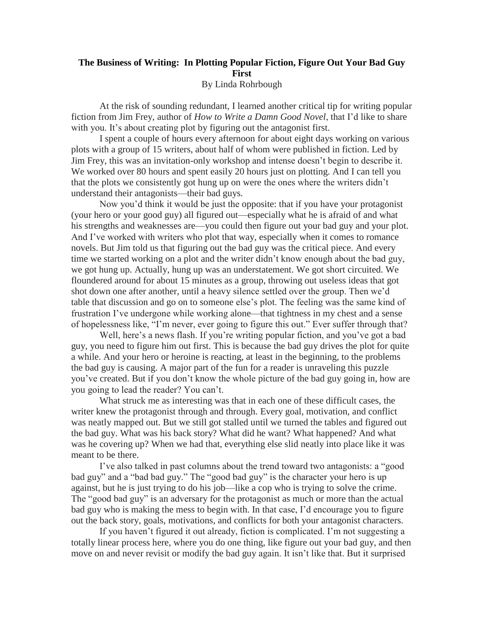## **The Business of Writing: In Plotting Popular Fiction, Figure Out Your Bad Guy First** By Linda Rohrbough

At the risk of sounding redundant, I learned another critical tip for writing popular fiction from Jim Frey, author of *How to Write a Damn Good Novel*, that I'd like to share with you. It's about creating plot by figuring out the antagonist first.

I spent a couple of hours every afternoon for about eight days working on various plots with a group of 15 writers, about half of whom were published in fiction. Led by Jim Frey, this was an invitation-only workshop and intense doesn't begin to describe it. We worked over 80 hours and spent easily 20 hours just on plotting. And I can tell you that the plots we consistently got hung up on were the ones where the writers didn't understand their antagonists—their bad guys.

Now you'd think it would be just the opposite: that if you have your protagonist (your hero or your good guy) all figured out—especially what he is afraid of and what his strengths and weaknesses are—you could then figure out your bad guy and your plot. And I've worked with writers who plot that way, especially when it comes to romance novels. But Jim told us that figuring out the bad guy was the critical piece. And every time we started working on a plot and the writer didn't know enough about the bad guy, we got hung up. Actually, hung up was an understatement. We got short circuited. We floundered around for about 15 minutes as a group, throwing out useless ideas that got shot down one after another, until a heavy silence settled over the group. Then we'd table that discussion and go on to someone else's plot. The feeling was the same kind of frustration I've undergone while working alone—that tightness in my chest and a sense of hopelessness like, "I'm never, ever going to figure this out." Ever suffer through that?

Well, here's a news flash. If you're writing popular fiction, and you've got a bad guy, you need to figure him out first. This is because the bad guy drives the plot for quite a while. And your hero or heroine is reacting, at least in the beginning, to the problems the bad guy is causing. A major part of the fun for a reader is unraveling this puzzle you've created. But if you don't know the whole picture of the bad guy going in, how are you going to lead the reader? You can't.

What struck me as interesting was that in each one of these difficult cases, the writer knew the protagonist through and through. Every goal, motivation, and conflict was neatly mapped out. But we still got stalled until we turned the tables and figured out the bad guy. What was his back story? What did he want? What happened? And what was he covering up? When we had that, everything else slid neatly into place like it was meant to be there.

I've also talked in past columns about the trend toward two antagonists: a "good bad guy" and a "bad bad guy." The "good bad guy" is the character your hero is up against, but he is just trying to do his job—like a cop who is trying to solve the crime. The "good bad guy" is an adversary for the protagonist as much or more than the actual bad guy who is making the mess to begin with. In that case, I'd encourage you to figure out the back story, goals, motivations, and conflicts for both your antagonist characters.

If you haven't figured it out already, fiction is complicated. I'm not suggesting a totally linear process here, where you do one thing, like figure out your bad guy, and then move on and never revisit or modify the bad guy again. It isn't like that. But it surprised